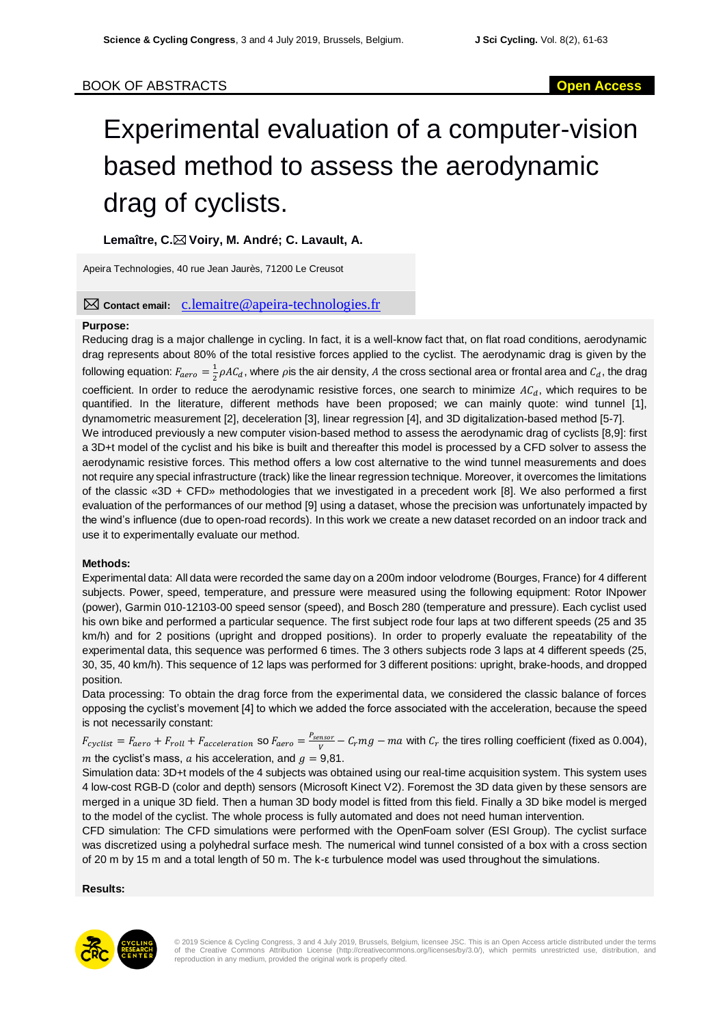# Experimental evaluation of a computer-vision based method to assess the aerodynamic drag of cyclists.

**Lemaître, C. Voiry, M. André; C. Lavault, A.**

Apeira Technologies, 40 rue Jean Jaurès, 71200 Le Creusot

**Contact email:** c.lemaitre@apeira-technologies.fr

#### **Purpose:**

Reducing drag is a major challenge in cycling. In fact, it is a well-know fact that, on flat road conditions, aerodynamic drag represents about 80% of the total resistive forces applied to the cyclist. The aerodynamic drag is given by the following equation:  $F_{aero} = \frac{1}{2}$  $\frac{1}{2} \rho A C_d$ , where  $\rho$  is the air density, A the cross sectional area or frontal area and  $C_d$ , the drag coefficient. In order to reduce the aerodynamic resistive forces, one search to minimize  $AC<sub>d</sub>$ , which requires to be quantified. In the literature, different methods have been proposed; we can mainly quote: wind tunnel [1], dynamometric measurement [2], deceleration [3], linear regression [4], and 3D digitalization-based method [5-7]. We introduced previously a new computer vision-based method to assess the aerodynamic drag of cyclists [8,9]: first a 3D+t model of the cyclist and his bike is built and thereafter this model is processed by a CFD solver to assess the aerodynamic resistive forces. This method offers a low cost alternative to the wind tunnel measurements and does not require any special infrastructure (track) like the linear regression technique. Moreover, it overcomes the limitations of the classic «3D + CFD» methodologies that we investigated in a precedent work [8]. We also performed a first evaluation of the performances of our method [9] using a dataset, whose the precision was unfortunately impacted by the wind's influence (due to open-road records). In this work we create a new dataset recorded on an indoor track and use it to experimentally evaluate our method.

#### **Methods:**

Experimental data: All data were recorded the same day on a 200m indoor velodrome (Bourges, France) for 4 different subjects. Power, speed, temperature, and pressure were measured using the following equipment: Rotor INpower (power), Garmin 010-12103-00 speed sensor (speed), and Bosch 280 (temperature and pressure). Each cyclist used his own bike and performed a particular sequence. The first subject rode four laps at two different speeds (25 and 35 km/h) and for 2 positions (upright and dropped positions). In order to properly evaluate the repeatability of the experimental data, this sequence was performed 6 times. The 3 others subjects rode 3 laps at 4 different speeds (25, 30, 35, 40 km/h). This sequence of 12 laps was performed for 3 different positions: upright, brake-hoods, and dropped position.

Data processing: To obtain the drag force from the experimental data, we considered the classic balance of forces opposing the cyclist's movement [4] to which we added the force associated with the acceleration, because the speed is not necessarily constant:

 $F_{cyclic} = F_{aero} + F_{roll} + F_{acceleration}$  SO  $F_{aero} = \frac{P_{sensor}}{V}$  $\frac{m sor}{V}$  –  $c$ <sub>r</sub> $mg$  –  $ma$  with  $c$ <sub>r</sub> the tires rolling coefficient (fixed as 0.004), m the cyclist's mass, a his acceleration, and  $q = 9.81$ .

Simulation data: 3D+t models of the 4 subjects was obtained using our real-time acquisition system. This system uses 4 low-cost RGB-D (color and depth) sensors (Microsoft Kinect V2). Foremost the 3D data given by these sensors are merged in a unique 3D field. Then a human 3D body model is fitted from this field. Finally a 3D bike model is merged to the model of the cyclist. The whole process is fully automated and does not need human intervention.

CFD simulation: The CFD simulations were performed with the OpenFoam solver (ESI Group). The cyclist surface was discretized using a polyhedral surface mesh. The numerical wind tunnel consisted of a box with a cross section of 20 m by 15 m and a total length of 50 m. The k-ε turbulence model was used throughout the simulations.

**Results:**

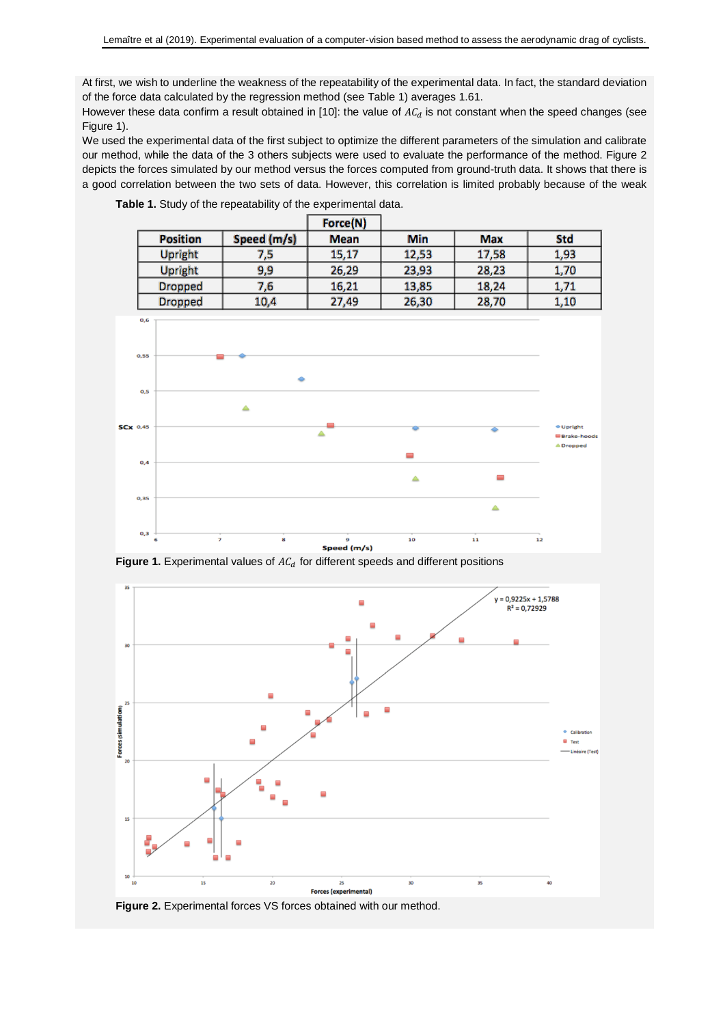At first, we wish to underline the weakness of the repeatability of the experimental data. In fact, the standard deviation of the force data calculated by the regression method (see Table 1) averages 1.61.

However these data confirm a result obtained in [10]: the value of  $AC<sub>d</sub>$  is not constant when the speed changes (see Figure 1).

We used the experimental data of the first subject to optimize the different parameters of the simulation and calibrate our method, while the data of the 3 others subjects were used to evaluate the performance of the method. Figure 2 depicts the forces simulated by our method versus the forces computed from ground-truth data. It shows that there is a good correlation between the two sets of data. However, this correlation is limited probably because of the weak

|                 |             | Force(N)    |       |            |            |
|-----------------|-------------|-------------|-------|------------|------------|
| <b>Position</b> | Speed (m/s) | <b>Mean</b> | Min   | <b>Max</b> | <b>Std</b> |
| <b>Upright</b>  | 7,5         | 15,17       | 12,53 | 17,58      | 1,93       |
| Upright         | 9,9         | 26,29       | 23,93 | 28,23      | 1,70       |
| <b>Dropped</b>  | 7,6         | 16,21       | 13,85 | 18,24      | 1,71       |
| <b>Dropped</b>  | 10,4        | 27,49       | 26,30 | 28,70      | 1,10       |

**Table 1.** Study of the repeatability of the experimental data.



**Figure 1.** Experimental values of  $AC<sub>d</sub>$  for different speeds and different positions



**Figure 2.** Experimental forces VS forces obtained with our method.